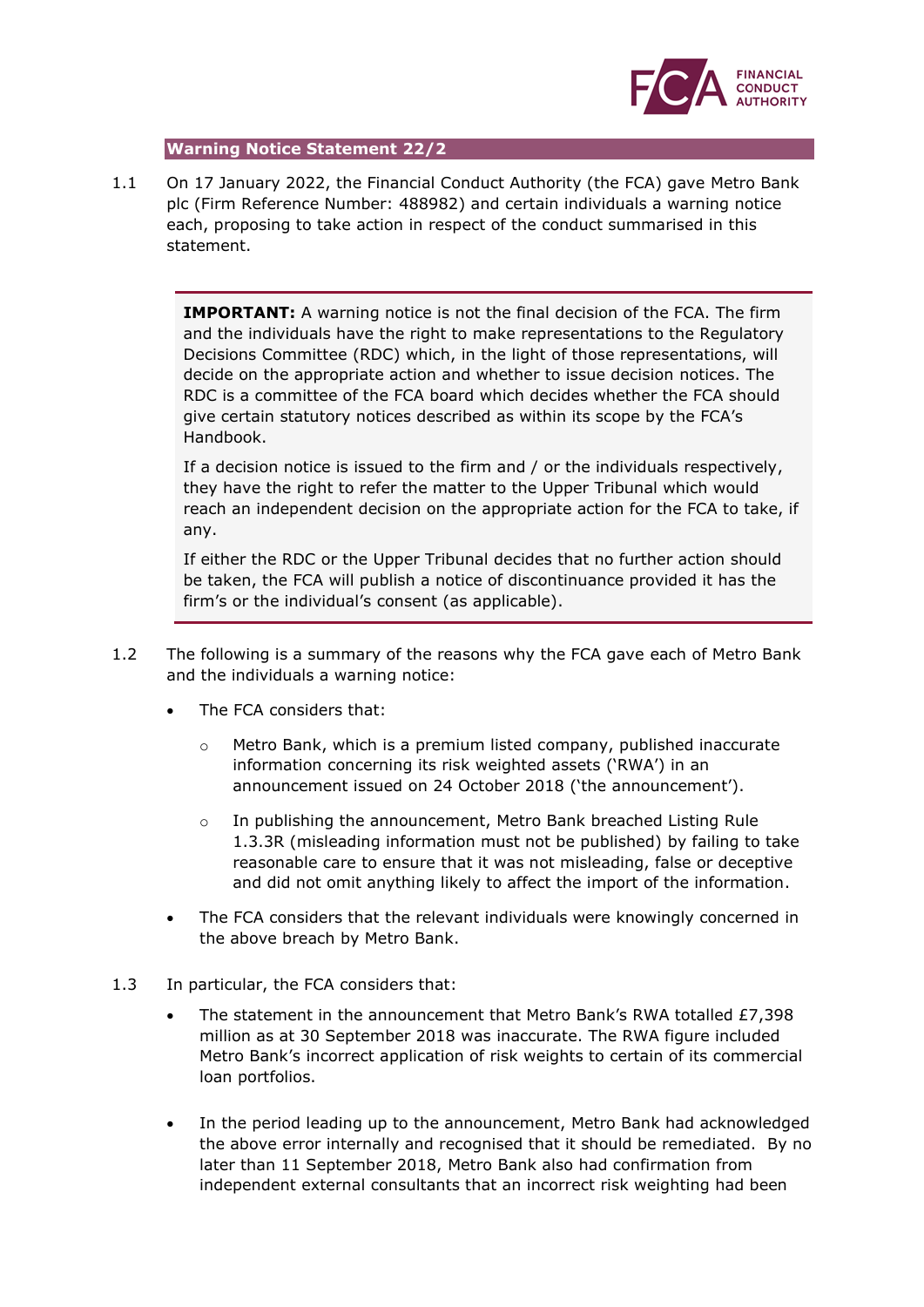

## **Warning Notice Statement 22/2**

1.1 On 17 January 2022, the Financial Conduct Authority (the FCA) gave Metro Bank plc (Firm Reference Number: 488982) and certain individuals a warning notice each, proposing to take action in respect of the conduct summarised in this statement.

> **IMPORTANT:** A warning notice is not the final decision of the FCA. The firm and the individuals have the right to make representations to the Regulatory Decisions Committee (RDC) which, in the light of those representations, will decide on the appropriate action and whether to issue decision notices. The RDC is a committee of the FCA board which decides whether the FCA should give certain statutory notices described as within its scope by the FCA's Handbook.

If a decision notice is issued to the firm and / or the individuals respectively, they have the right to refer the matter to the Upper Tribunal which would reach an independent decision on the appropriate action for the FCA to take, if any.

If either the RDC or the Upper Tribunal decides that no further action should be taken, the FCA will publish a notice of discontinuance provided it has the firm's or the individual's consent (as applicable).

- 1.2 The following is a summary of the reasons why the FCA gave each of Metro Bank and the individuals a warning notice:
	- The FCA considers that:
		- $\circ$  Metro Bank, which is a premium listed company, published inaccurate information concerning its risk weighted assets ('RWA') in an announcement issued on 24 October 2018 ('the announcement').
		- $\circ$  In publishing the announcement, Metro Bank breached Listing Rule 1.3.3R (misleading information must not be published) by failing to take reasonable care to ensure that it was not misleading, false or deceptive and did not omit anything likely to affect the import of the information.
	- The FCA considers that the relevant individuals were knowingly concerned in the above breach by Metro Bank.
- 1.3 In particular, the FCA considers that:
	- The statement in the announcement that Metro Bank's RWA totalled  $£7,398$ million as at 30 September 2018 was inaccurate. The RWA figure included Metro Bank's incorrect application of risk weights to certain of its commercial loan portfolios.
	- In the period leading up to the announcement, Metro Bank had acknowledged the above error internally and recognised that it should be remediated. By no later than 11 September 2018, Metro Bank also had confirmation from independent external consultants that an incorrect risk weighting had been